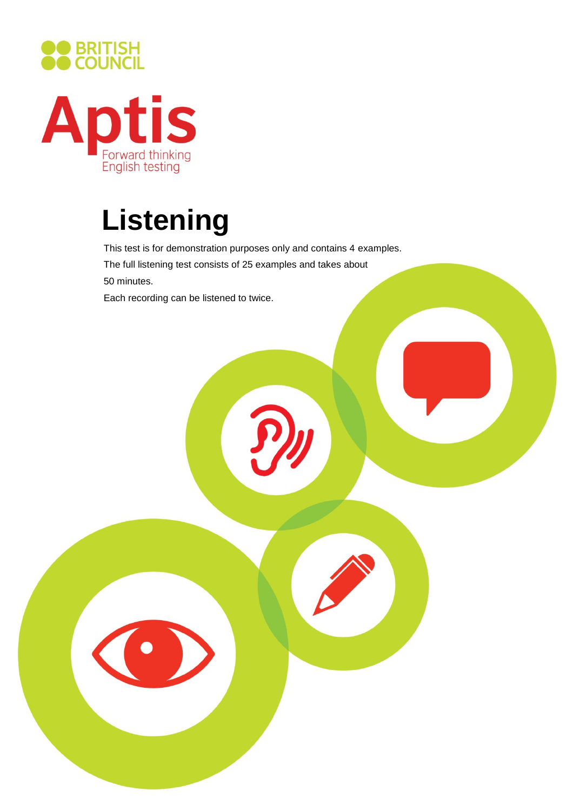



# **Listening**

This test is for demonstration purposes only and contains 4 examples.

The full listening test consists of 25 examples and takes about

50 minutes.

Each recording can be listened to twice.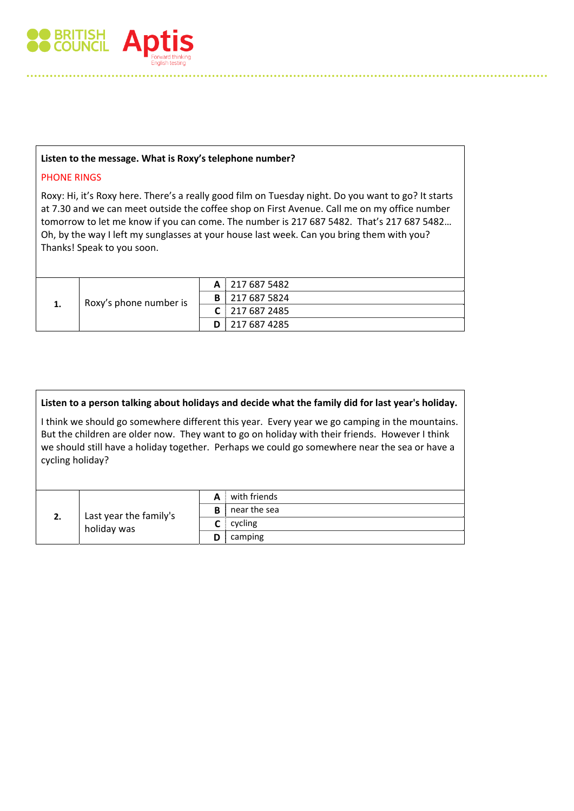

#### **Listen to the message. What is Roxy's telephone number?**

#### PHONE RINGS

Roxy: Hi, it's Roxy here. There's a really good film on Tuesday night. Do you want to go? It starts at 7.30 and we can meet outside the coffee shop on First Avenue. Call me on my office number tomorrow to let me know if you can come. The number is 217 687 5482. That's 217 687 5482… Oh, by the way I left my sunglasses at your house last week. Can you bring them with you? Thanks! Speak to you soon.

| 1. | Roxy's phone number is |  | A 217 687 5482          |
|----|------------------------|--|-------------------------|
|    |                        |  | <b>B</b>   217 687 5824 |
|    |                        |  | $C$   217 687 2485      |
|    |                        |  | $D$   217 687 4285      |

| Listen to a person talking about holidays and decide what the family did for last year's holiday.                                                                                                                                                                                                                     |                                       |   |              |  |  |
|-----------------------------------------------------------------------------------------------------------------------------------------------------------------------------------------------------------------------------------------------------------------------------------------------------------------------|---------------------------------------|---|--------------|--|--|
| I think we should go somewhere different this year. Every year we go camping in the mountains.<br>But the children are older now. They want to go on holiday with their friends. However I think<br>we should still have a holiday together. Perhaps we could go somewhere near the sea or have a<br>cycling holiday? |                                       |   |              |  |  |
| 2.                                                                                                                                                                                                                                                                                                                    | Last year the family's<br>holiday was | A | with friends |  |  |
|                                                                                                                                                                                                                                                                                                                       |                                       | B | near the sea |  |  |
|                                                                                                                                                                                                                                                                                                                       |                                       |   | cycling      |  |  |
|                                                                                                                                                                                                                                                                                                                       |                                       | D | camping      |  |  |